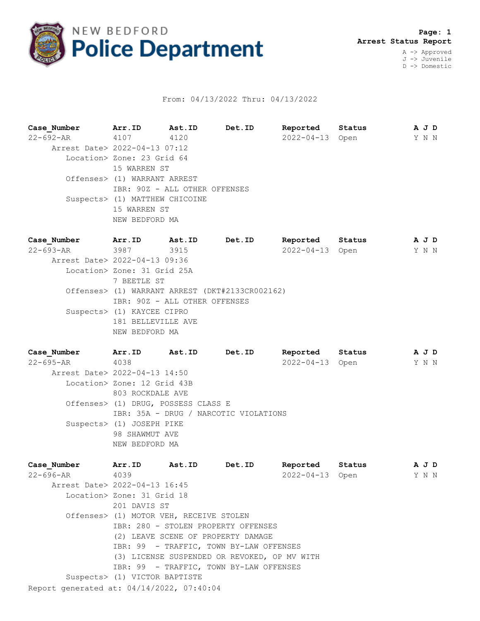

## From: 04/13/2022 Thru: 04/13/2022

**Case\_Number Arr.ID Ast.ID Det.ID Reported Status A J D** 22-692-AR 4107 4120 2022-04-13 Open Y N N Arrest Date> 2022-04-13 07:12 Location> Zone: 23 Grid 64 15 WARREN ST Offenses> (1) WARRANT ARREST IBR: 90Z - ALL OTHER OFFENSES Suspects> (1) MATTHEW CHICOINE 15 WARREN ST NEW BEDFORD MA **Case\_Number Arr.ID Ast.ID Det.ID Reported Status A J D** 22-693-AR 3987 3915 2022-04-13 Open Y N N Arrest Date> 2022-04-13 09:36 Location> Zone: 31 Grid 25A

7 BEETLE ST Offenses> (1) WARRANT ARREST (DKT#2133CR002162) IBR: 90Z - ALL OTHER OFFENSES Suspects> (1) KAYCEE CIPRO 181 BELLEVILLE AVE NEW BEDFORD MA

**Case\_Number Arr.ID Ast.ID Det.ID Reported Status A J D** 22-695-AR 4038 2022-04-13 Open Y N N Arrest Date> 2022-04-13 14:50 Location> Zone: 12 Grid 43B 803 ROCKDALE AVE Offenses> (1) DRUG, POSSESS CLASS E IBR: 35A - DRUG / NARCOTIC VIOLATIONS Suspects> (1) JOSEPH PIKE 98 SHAWMUT AVE NEW BEDFORD MA

Report generated at: 04/14/2022, 07:40:04 **Case\_Number Arr.ID Ast.ID Det.ID Reported Status A J D** 22-696-AR 4039 2022-04-13 Open Y N N Arrest Date> 2022-04-13 16:45 Location> Zone: 31 Grid 18 201 DAVIS ST Offenses> (1) MOTOR VEH, RECEIVE STOLEN IBR: 280 - STOLEN PROPERTY OFFENSES (2) LEAVE SCENE OF PROPERTY DAMAGE IBR: 99 - TRAFFIC, TOWN BY-LAW OFFENSES (3) LICENSE SUSPENDED OR REVOKED, OP MV WITH IBR: 99 - TRAFFIC, TOWN BY-LAW OFFENSES Suspects> (1) VICTOR BAPTISTE